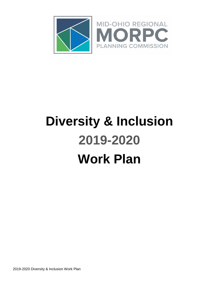

# **Diversity & Inclusion 2019-2020 Work Plan**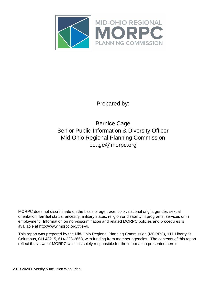

Prepared by:

Bernice Cage Senior Public Information & Diversity Officer Mid-Ohio Regional Planning Commission bcage@morpc.org

MORPC does not discriminate on the basis of age, race, color, national origin, gender, sexual orientation, familial status, ancestry, military status, religion or disability in programs, services or in employment. Information on non-discrimination and related MORPC policies and procedures is available at http://www.morpc.org/title-vi.

This report was prepared by the Mid-Ohio Regional Planning Commission (MORPC), 111 Liberty St., Columbus, OH 43215, 614-228-2663, with funding from member agencies. The contents of this report reflect the views of MORPC which is solely responsible for the information presented herein.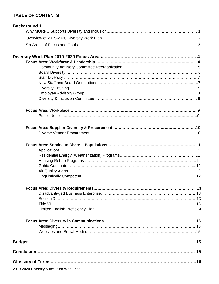### **TABLE OF CONTENTS**

| <b>Background 1</b> |  |
|---------------------|--|
|                     |  |
|                     |  |
|                     |  |
|                     |  |
|                     |  |
|                     |  |
|                     |  |
|                     |  |
|                     |  |
|                     |  |
|                     |  |
|                     |  |
|                     |  |
|                     |  |
|                     |  |
|                     |  |
|                     |  |
|                     |  |
|                     |  |
|                     |  |
|                     |  |
|                     |  |
|                     |  |
|                     |  |
|                     |  |
|                     |  |
|                     |  |
|                     |  |
|                     |  |
|                     |  |
|                     |  |
|                     |  |
|                     |  |
|                     |  |
|                     |  |
|                     |  |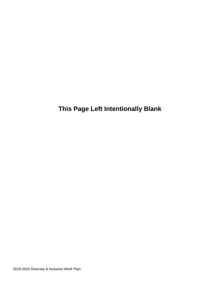**This Page Left Intentionally Blank**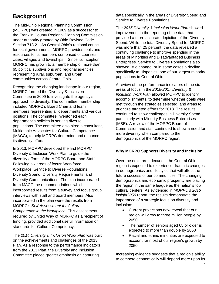# **Background**

The Mid-Ohio Regional Planning Commission (MORPC) was created in 1969 as a successor to the Franklin County Regional Planning Commission under authority granted by Ohio Revised Code Section 713.21. As Central Ohio's regional council for local governments, MORPC provides tools and resources to its members comprised of counties, cities, villages and townships. Since its inception, MORPC has grown to a membership of more than 65 political subdivisions and regional agencies representing rural, suburban, and urban communities across Central Ohio.

Recognizing the changing landscape in our region, MORPC formed the Diversity & Inclusion Committee in 2009 to investigate the agency's approach to diversity. The committee membership included MORPC's Board Chair and team members representing all departments and various positions. The committee inventoried each department's policies in serving diverse populations. The committee also hired a consultant, Multiethnic Advocates for Cultural Competence (MACC), to help MORPC determine and enhance its diversity efforts.

In 2013, MORPC developed the first MORPC Diversity & Inclusion Work Plan to guide the diversity efforts of the MORPC Board and Staff. Following six areas of focus: Workforce, Workplace, Service to Diverse Populations, Diversity Spend, Diversity Requirements, and Diversity Communications. The plan incorporated from MACC the recommendations which incorporated results from a survey and focus group interviews with staff and board members. Also incorporated in the plan were the results from MORPC's *Self-Assessment for Cultural Competence in the Workplace.* This assessment, required by United Way of MORPC as a recipient of funding, provided additional useful information on standards for Cultural Competency.

The *2014 Diversity & Inclusion Work Plan* was built on the achievements and challenges of the 2013 Plan. As a response to the performance indicators from the 2013 Plan, the Diversity and Inclusion Committee placed greater emphasis on capturing

data specifically in the areas of Diversity Spend and Service to Diverse Populations.

The *2015 Diversity & Inclusion Work Plan* showed improvement in the reporting of the data that provided a more accurate depiction of the Diversity Spend. While the total Diversity Spend for MORPC was more than 25 percent, the data revealed a continuing challenge to improve spending in the areas of Minorities and Disadvantaged Business Enterprises. Service to Diverse Populations also showed little change, or in some cases a decline specifically to Hispanics, one of our largest minority populations in Central Ohio.

A review of the performance indicators of the six areas of focus in the *2016-2017 Diversity & Inclusion Work Plan* allowed MORPC to identify accomplishments, to determine whether goals were met through the strategies selected, and areas to prioritize targeted efforts for 2018. The results continued to show challenges in Diversity Spend particularly with Minority Business Enterprises (MBE). A review of the MORPC Board of Commission and staff continued to show a need for more diversity when compared to the demographics of the MORPC region.

#### **Why MORPC Supports Diversity and Inclusion**

Over the next three decades, the Central Ohio region is expected to experience dramatic changes in demographics and lifestyles that will affect the future success of our communities. The changing demographics and economic prosperity are placing the region in the same league as the nation's top cultural centers. As evidenced in *MORPC's 2016 insight2050* report, the results demonstrate the importance of a strategic focus on diversity and inclusion:

- Current projections now reveal that our region will grow to three million people by 2050
- The number of seniors aged 65 or older is expected to more than double by 2050
- Racial and ethnic minorities are expected to account for most of our region's growth by 2050

Increasing evidence suggests that a region's ability to compete economically will depend more upon its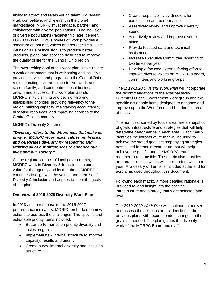ability to attract and retain young talent. To remain vital, competitive, and relevant in the global marketplace, MORPC must engage, partner, and collaborate with diverse populations. The inclusion of diverse populations (racial/ethnic, age, gender, LGBTQ+) in MORPC's bodies of work provides a spectrum of thought, voices and perspectives. The intrinsic value of inclusion is to produce better products, plans, and services designed to improve the quality of life for the Central Ohio region.

The overarching goal of this work plan is to cultivate a work environment that is welcoming and inclusive; provides services and programs to the Central Ohio region creating a vibrant place to live, work, and raise a family; and contribute to local business growth and success. This work plan assists MORPC in its planning and decision-making, establishing priorities, providing relevancy to the region, building capacity, maintaining accountability, allocating resources, and improving services to the Central Ohio community.

#### MORPC's Diversity Statement:

#### *"Diversity refers to the differences that make us unique. MORPC recognizes, values, embraces, and celebrates diversity by respecting and utilizing all of our differences to enhance our lives and our society."*

As the regional council of local governments, MORPC work in Diversity & Inclusion is a core value for the agency and its members. MORPC continues to align with the values and premise of Diversity & Inclusion and aspires to meet the goals of the plan.

#### **Overview of 2019-2020 Diversity Work Plan**

In 2018 and in response to the 2016-2017 performance indicators, MORPC embarked on new actions to address the challenges. The specific and actionable priority items included:

- Better performance on priority diversity and inclusion goals
- Implement new internal structure to improve capacity, results and priority
- Create a new internal diversity and inclusion structure
- Create responsibility by directors for participation and performance
- Assertively review and improve diversity spend
- Assertively review and improve diverse hiring
- Provide focused data and technical assistance
- Increase Executive Committee reporting to two times per year
- Develop a focused external facing effort to improve diverse voices on MORPC's board, committees and working groups

The *2019-2020 Diversity Work Plan* will incorporate the recommendations of the external facing Diversity in Local Government work group and the specific actionable items designed to enhance and improve upon the Workforce and Leadership area of focus.

The matrices, sorted by focus area, are a snapshot of goals, infrastructure and strategies that will help determine performance in each area. Each matrix identifies the infrastructure that will be used to achieve the stated goal; accompanying strategies best suited for that infrastructure that will help achieve the goal/s; and the MORPC team member(s) responsible. The matrix also provides an area for results which will be reported twice per year. A Glossary of Terms is included at the end for acronyms used throughout this document.

Following each matrix, a more detailed rationale is provided to lend insight into the specific infrastructure and strategy that were selected and why.

The *2019-2020 Work Plan* will continue to analyze and assess the six focus areas identified in the previous plans with recommended changes to the goals as needed. The plan guides the diversity work of the MORPC Board and staff.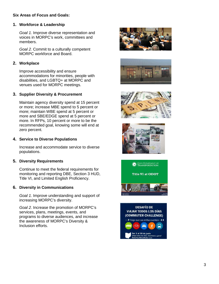#### **Six Areas of Focus and Goals:**

#### **1. Workforce & Leadership**

*Goal 1.* Improve diverse representation and voices in MORPC's work, committees and members.

*Goal 2.* Commit to a culturally competent MORPC workforce and Board.

#### **2. Workplace**

Improve accessibility and ensure accommodations for minorities, people with disabilities, and LGBTQ + at MORPC and venues used for MORPC meetings.

#### **3. Supplier Diversity & Procurement**

Maintain agency diversity spend at 15 percent or more; increase MBE spend to 5 percent or more; maintain WBE spend at 5 percent or more and SBE/EDGE spend at 5 percent or more. In RFPs, 10 percent or more to be the recommended goal, knowing some will end at zero percent.

#### **4. Service to Diverse Populations**

Increase and accommodate service to diverse populations.

#### **5. Diversity Requirements**

Continue to meet the federal requirements for monitoring and reporting DBE, Section 3 HUD, Title VI, and Limited English Proficiency.

#### **6. Diversity in Communications**

*Goal 1.* Improve understanding and support of increasing MORPC's diversity.

*Goal 2.* Increase the promotion of MORPC's services, plans, meetings, events, and programs to diverse audiences, and increase the awareness of MORPC's Diversity & Inclusion efforts.











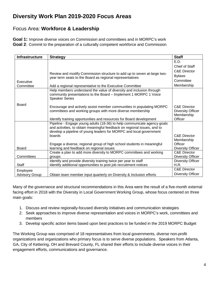# **Diversity Work Plan 2019-2020 Focus Areas**

## Focus Area: **Workforce & Leadership**

**Goal 1:** Improve diverse voices on Commission and committees and in MORPC's work **Goal 2:** Commit to the preparation of a culturally competent workforce and Commission

| <b>Infrastructure</b> | <b>Strategy</b>                                                                                                                                                   | <b>Staff</b>             |
|-----------------------|-------------------------------------------------------------------------------------------------------------------------------------------------------------------|--------------------------|
|                       |                                                                                                                                                                   | E.D.                     |
|                       |                                                                                                                                                                   | Chief of Staff           |
|                       | Review and modify Commission structure to add up to seven at-large two-                                                                                           | <b>C&amp;E Director</b>  |
|                       | year term seats to the Board as regional representatives                                                                                                          | <b>Bylaws</b>            |
| Executive             |                                                                                                                                                                   | Committee                |
| Committee             | Add a regional representative to the Executive Committee                                                                                                          | Membership               |
|                       | Help members understand the value of diversity and inclusion through<br>community presentations to the Board - Implement 1 MORPC 1 Voice<br><b>Speaker Series</b> |                          |
| <b>Board</b>          | Encourage and actively assist member communities in populating MORPC                                                                                              | <b>C&amp;E Director</b>  |
|                       | committees and working groups with more diverse membership                                                                                                        | <b>Diversity Officer</b> |
|                       |                                                                                                                                                                   | Membership               |
|                       | Identify training opportunities and resources for Board development                                                                                               | Officer                  |
|                       | Pipeline - Engage young adults (18-36) to help communicate agency goals                                                                                           |                          |
|                       | and activities, to obtain meaningful feedback on regional issues, and to                                                                                          |                          |
|                       | develop a pipeline of young leaders for MORPC and local government<br>boards                                                                                      | <b>C&amp;E Director</b>  |
|                       |                                                                                                                                                                   | Membership               |
|                       | Engage a diverse, regional group of high school students in meaningful                                                                                            | Officer                  |
| <b>Board</b>          | learning and feedback on regional issues                                                                                                                          | <b>Diversity Officer</b> |
|                       | Create a plan to add more diversity to MORPC committees and working                                                                                               | <b>C&amp;E Director</b>  |
| Committees            | groups                                                                                                                                                            | <b>Diversity Officer</b> |
|                       | Identify and provide diversity training twice per year to staff                                                                                                   | <b>Diversity Officer</b> |
| <b>Staff</b>          | Identify additional opportunities to post job recruitment notices                                                                                                 | H.R.                     |
| Employee              |                                                                                                                                                                   | <b>C&amp;E Director</b>  |
| <b>Advisory Group</b> | Obtain team member input quarterly on Diversity & Inclusion efforts                                                                                               | <b>Diversity Officer</b> |

Many of the governance and structural recommendations in this Area were the result of a five-month external facing effort in 2018 with the Diversity in Local Government Working Group, whose focus centered on three main goals:

- 1. Discuss and review regionally-focused diversity initiatives and communication strategies
- 2. Seek approaches to improve diverse representation and voices in MORPC's work, committees and members
- 3. Develop specific action items based upon best practices to be funded in the 2019 MORPC Budget

The Working Group was comprised of 18 representatives from local governments, diverse non-profit organizations and organizations who primary focus is to serve diverse populations. Speakers from Atlanta, GA, City of Kettering, OH and Brevard County, FL shared their efforts to include diverse voices in their engagement efforts, communications and governance.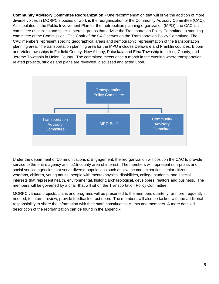**Community Advisory Committee Reorganization** - One recommendation that will drive the addition of more diverse voices in MORPC's bodies of work is the reorganization of the Community Advisory Committee (CAC). As stipulated in the Public Involvement Plan for the metropolitan planning organization (MPO), the CAC is a committee of citizens and special interest groups that advise the Transportation Policy Committee, a standing committee of the Commission. The Chair of the CAC serves on the Transportation Policy Committee. The CAC members represent specific geographical areas and demographic representation of the transportation planning area. The transportation planning area for the MPO includes Delaware and Franklin counties, Bloom and Violet townships in Fairfield County, New Albany, Pataskala and Etna Township in Licking County, and Jerome Township in Union County. The committee meets once a month in the evening where transportation related projects, studies and plans are reviewed, discussed and acted upon.



Under the department of Communications & Engagement, the reorganization will position the CAC to provide service to the entire agency and its15-county area of interest. The members will represent non-profits and social service agencies that serve diverse populations such as low-income, minorities, senior citizens, veterans, children, young adults, people with mental/physical disabilities, college students; and special interests that represent health, environmental, historic/archaeological, developers, realtors and business. The members will be governed by a chair that will sit on the Transportation Policy Committee.

MORPC various projects, plans and programs will be presented to the members quarterly, or more frequently if needed, to inform, review, provide feedback or act upon. The members will also be tasked with the additional responsibility to share the information with their staff, constituents, clients and members. A more detailed description of the reorganization can be found in the appendix.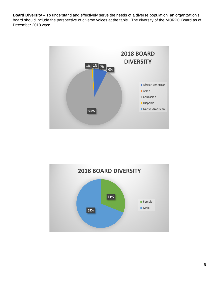**Board Diversity** – To understand and effectively serve the needs of a diverse population, an organization's board should include the perspective of diverse voices at the table. The diversity of the MORPC Board as of December 2018 was:



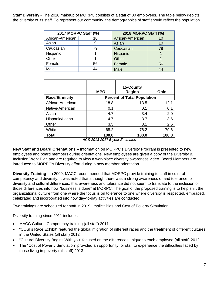**Staff Diversity** - The 2018 makeup of MORPC consists of a staff of 80 employees. The table below depicts the diversity of its staff. To represent our community, the demographics of staff should reflect the population.

| 2017 MORPC Staff (%) |    | 2018 MORPC Staff (%) |    |
|----------------------|----|----------------------|----|
| African-American     |    | African-American     | 10 |
| Asian                |    | Asian                | 10 |
| Caucasian            | 79 | Caucasian            | 78 |
| Hispanic             |    | Hispanic             |    |
| Other                |    | Other                |    |
| Female               | 56 | Female               | 56 |
| Male                 | ΔΔ | Male                 | 44 |

|                       | <b>MPO</b>              | 15-County<br><b>Region</b>         | Ohio  |
|-----------------------|-------------------------|------------------------------------|-------|
| <b>Race/Ethnicity</b> |                         | <b>Percent of Total Population</b> |       |
| African-American      | 18.8                    | 13.5                               | 12.1  |
| Native-American       | 0.1                     | 0.1                                | 0.1   |
| Asian                 | 4.7                     | 3.4                                | 2.0   |
| Hispanic/Latino       | 4.7                     | 3.7                                | 3.6   |
| Other                 | 3.5                     | 3.1                                | 2.5   |
| White                 | 68.2                    | 76.2                               | 79.6  |
| <b>Total</b>          | 100.0<br>ACC.2042.20475 | 100.0                              | 100.0 |

*ACS 2013-2017 5-year Estimates*

**New Staff and Board Orientations** – Information on MORPC's Diversity Program is presented to new employees and board members during orientations. New employees are given a copy of the Diversity & Inclusion Work Plan and are required to view a workplace diversity awareness video. Board Members are introduced to MORPC's Diversity effort during a new member orientation.

**Diversity Training** - In 2009, MACC recommended that MORPC provide training to staff in cultural competency and diversity. It was noted that although there was a strong awareness of and tolerance for diversity and cultural differences, that awareness and tolerance did not seem to translate to the inclusion of those differences into how "business is done" at MORPC. The goal of the proposed training is to help shift the organizational culture from one where the focus is on tolerance to one where diversity is respected, embraced, celebrated and incorporated into how day-to-day activities are conducted.

Two trainings are scheduled for staff in 2019, Implicit Bias and Cost of Poverty Simulation.

Diversity training since 2011 includes:

- MACC Cultural Competency training (all staff) 2011
- "COSI's Race Exhibit" featured the global migration of different races and the treatment of different cultures in the United States (all staff) 2012
- "Cultural Diversity Begins With you" focused on the differences unique to each employee (all staff) 2012
- The "Cost of Poverty Simulation" provided an opportunity for staff to experience the difficulties faced by those living in poverty (all staff) 2013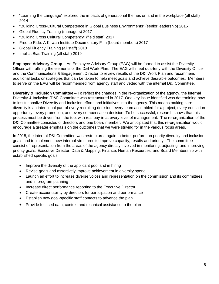- "Learning the Language" explored the impacts of generational themes on and in the workplace (all staff) 2014
- "Building Cross-Cultural Competence in Global Business Environments" (senior leadership) 2016
- Global Fluency Training (managers) 2017
- "Building Cross Cultural Competency" (field staff) 2017
- Free to Ride: A Kirwan Institute Documentary Film (board members) 2017
- Global Fluency Training (all staff) 2018
- Implicit Bias Training (all staff) 2019

**Employee Advisory Group** – An Employee Advisory Group (EAG) will be formed to assist the Diversity Officer with fulfilling the elements of the D&I Work Plan. The EAG will meet quarterly with the Diversity Officer and the Communications & Engagement Director to review results of the D&I Work Plan and recommend additional tasks or strategies that can be taken to help meet goals and achieve desirable outcomes. Members to serve on the EAG will be recommended from agency staff and vetted with the internal D&I Committee.

**Diversity & Inclusion Committee** – To reflect the changes in the re-organization of the agency, the internal Diversity & Inclusion (D&I) Committee was restructured in 2017. One key issue identified was determining how to institutionalize Diversity and Inclusion efforts and initiatives into the agency. This means making sure diversity is an intentional part of every recruiting decision, every team assembled for a project, every education opportunity, every promotion, and every compensation decision. To be successful, research shows that this process must be driven from the top, with real buy-in at every level of management. The re-organization of the D&I Committee consisted of directors and one board member. We anticipated that this re-organization would encourage a greater emphasis on the outcomes that we were striving for in the various focus areas.

In 2018, the internal D&I Committee was restructured again to better perform on priority diversity and inclusion goals and to implement new internal structures to improve capacity, results and priority. The committee consist of representation from the areas of the agency directly involved in monitoring, adjusting, and improving priority goals: Executive Director, Data & Mapping, Finance, Human Resources, and Board Membership with established specific goals:

- Improve the diversity of the applicant pool and in hiring
- Revise goals and assertively improve achievement in diversity spend
- Launch an effort to increase diverse voices and representation on the commission and its committees and in program planning
- Increase direct performance reporting to the Executive Director
- Create accountability by directors for participation and performance
- Establish new goal-specific staff contacts to advance the plan
- Provide focused data, context and technical assistance to the plan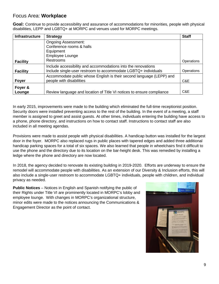## Focus Area: **Workplace**

**Goal:** Continue to provide accessibility and assurance of accommodations for minorities, people with physical disabilities, LEPP and LGBTQ+ at MORPC and venues used for MORPC meetings.

| <b>Infrastructure</b> | <b>Strategy</b>                                                       | <b>Staff</b> |
|-----------------------|-----------------------------------------------------------------------|--------------|
|                       | <b>Ongoing Assessment:</b>                                            |              |
|                       | Conference rooms & halls                                              |              |
|                       | Equipment                                                             |              |
|                       | Employee Lounge                                                       |              |
| <b>Facility</b>       | <b>Restrooms</b>                                                      | Operations   |
|                       | Include accessibility and accommodations into the renovations         |              |
| <b>Facility</b>       | Include single-user restroom to accommodate LGBTQ+ individuals        | Operations   |
|                       | Accommodate public whose English is their second language (LEPP) and  |              |
| <b>Foyer</b>          | people with disabilities                                              | C&E          |
| Foyer &               |                                                                       |              |
| Lounge                | Review language and location of Title VI notices to ensure compliance | C&E          |

In early 2015, improvements were made to the building which eliminated the full-time receptionist position. Security doors were installed preventing access to the rest of the building. In the event of a meeting, a staff member is assigned to greet and assist guests. At other times, individuals entering the building have access to a phone, phone directory, and instructions on how to contact staff. Instructions to contact staff are also included in all meeting agendas.

Provisions were made to assist people with physical disabilities. A handicap button was installed for the largest door in the foyer. MORPC also replaced rugs in public places with tapered edges and added three additional handicap parking spaces for a total of six spaces. We also learned that people in wheelchairs find it difficult to use the phone and the directory due to its location on the bar-height desk. This was remedied by installing a ledge where the phone and directory are now located.

In 2018, the agency decided to renovate its existing building in 2019-2020. Efforts are underway to ensure the remodel will accommodate people with disabilities. As an extension of our Diversity & Inclusion efforts, this will also include a single-user restroom to accommodate LGBTQ+ individuals, people with children, and individual privacy as needed.

**Public Notices** – Notices in English and Spanish notifying the public of their Rights under Title VI are prominently located in MORPC's lobby and employee lounge. With changes in MORPC's organizational structure, minor edits were made to the notices announcing the Communications & Engagement Director as the point of contact.

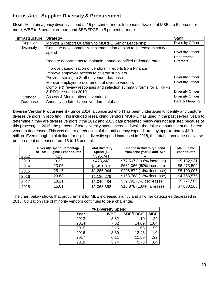## Focus Area: **Supplier Diversity & Procurement**

**Goal:** Maintain agency diversity spend at 15 percent or more. Increase utilization of MBEs to 5 percent or more, WBE to 5 percent or more and SBE/EDGE to 5 percent or more.

| <b>Infrastructure</b>                           | <b>Strategy</b>                                                                                                                                 | <b>Staff</b>                   |  |  |
|-------------------------------------------------|-------------------------------------------------------------------------------------------------------------------------------------------------|--------------------------------|--|--|
| Supplier                                        | Monitor & Report Quarterly to MORPC Senior Leadership                                                                                           | <b>Diversity Officer</b>       |  |  |
| <b>Diversity</b>                                | Continue development & implementation of plan to increase minority<br>spend                                                                     | <b>Diversity Officer</b>       |  |  |
|                                                 | Require departments to maintain annual identified utilization rates                                                                             | Department<br><b>Directors</b> |  |  |
|                                                 | Improve categorization of vendors in reports from Finance                                                                                       |                                |  |  |
|                                                 | Improve employee access to diverse suppliers<br>Provide training to Staff on vendor database<br>Monitor employee procurement of diverse vendors |                                |  |  |
|                                                 |                                                                                                                                                 |                                |  |  |
|                                                 |                                                                                                                                                 |                                |  |  |
|                                                 | Compile & review responses and selection summary forms for all RFPs                                                                             |                                |  |  |
|                                                 | & RFQs issued in 2019                                                                                                                           |                                |  |  |
| Assess & Monitor diverse vendors list<br>Vendor |                                                                                                                                                 | <b>Diversity Officer</b>       |  |  |
| Database                                        | Annually update diverse vendors database                                                                                                        | Data & Mapping                 |  |  |

**Diverse Vendor Procurement -** Since 2014, a concerted effort has been undertaken to identify and capture diverse vendors in reporting. This included researching vendors MORPC has used in the past several years to determine if they are diverse vendors (\*the 2012 and 2013 data presented below was not adjusted because of this process). In 2015, the percent of total diversity spend increased while the dollar amount spent on diverse vendors decreased. This was due to a reduction of the total agency expenditures by approximately \$1.3 million. Even though total dollars for eligible diversity spend increased in 2018, the total percentage of diverse procurement decreased from 18 to 15 percent.

|      | <b>Diversity Spend Percentage</b><br>of Total Eligible Expenditures | <b>Total Diversity</b><br>Spend (\$) | <b>Change in Diversity Spend</b><br>from prior year (\$ and %) * | <b>Total Eligible</b><br><b>Expenditures</b> |
|------|---------------------------------------------------------------------|--------------------------------------|------------------------------------------------------------------|----------------------------------------------|
| 2012 | 4.13                                                                | \$395,741                            |                                                                  |                                              |
| 2013 | 9.22                                                                | \$473,248                            | \$77,507 (19.6% increase)                                        | \$5,132,931                                  |
| 2014 | 23.05                                                               | \$1,491,916                          | \$682,066 (60% increase)                                         | \$6,473,592                                  |
| 2015 | 25.15                                                               | \$1,285,044                          | \$206,872 (14% decrease)                                         | \$5,109,006                                  |
| 2016 | 23.63                                                               | \$1,126,276                          | \$158,768 (12% decrease)                                         | \$4,766,575                                  |
| 2017 | 18.11                                                               | \$1,046,484                          | \$79,792 (7% decrease)                                           | \$5,777,569                                  |
| 2018 | 15.01                                                               | \$1,063,362                          | \$16,878 (1.6% increase)                                         | \$7,080,168                                  |

The chart below shows that procurement for MBE increased slightly and all other categories decreased in 2018. Utilization rate of minority vendors continues to be a challenge.

| % Diversity Spend |            |                 |            |  |  |
|-------------------|------------|-----------------|------------|--|--|
| Year              | <b>WBE</b> | <b>SBE/EDGE</b> | <b>MBE</b> |  |  |
| 2013              | 8.82       | .10             | .29        |  |  |
| 2014              | 7.32       | 14.69           | 1.04       |  |  |
| 2015              | 12.15      | 11.66           | .59        |  |  |
| 2016              | 8.89       | 12.48           | 1.0        |  |  |
| 2017              | 6.11       | 11.59           | .32        |  |  |
| 2018              | 5.74       | 5.78            | 64         |  |  |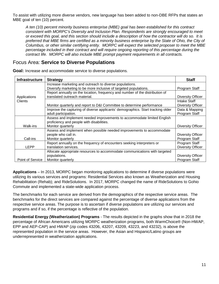To assist with utilizing more diverse vendors, new language has been added to non-DBE RFPs that states an MBE goal of ten (10) percent.

*A ten (10) percent minority business enterprise (MBE) goal has been established for this contract consistent with MORPC's Diversity and Inclusion Plan. Respondents are strongly encouraged to meet or exceed this goal, and this section should include a description of how the contractor will do so. It is preferred that MBE firms are certified as a minority business enterprise by the State of Ohio, the City of Columbus, or other similar certifying entity. MORPC will expect the selected proposer to meet the MBE percentage included in their contract and will require ongoing reporting of this percentage during the contract life. MORPC will also include MBE prompt payment requirements in all contracts.*

## Focus Area: **Service to Diverse Populations**

| <b>Infrastructure</b> | <b>Strategy</b>                                                                    | <b>Staff</b>             |  |  |  |
|-----------------------|------------------------------------------------------------------------------------|--------------------------|--|--|--|
|                       | Increase marketing and outreach to diverse populations.                            |                          |  |  |  |
|                       | Diversify marketing to be more inclusive of targeted populations.<br>Program Staff |                          |  |  |  |
|                       | Report annually on the location, frequency and number of the distribution of       |                          |  |  |  |
| Applications          | translated outreach material.                                                      | Diversity Officer        |  |  |  |
| <b>Clients</b>        |                                                                                    | <b>Intake Staff</b>      |  |  |  |
|                       | Monitor quarterly and report to D&I Committee to determine performance             | <b>Diversity Officer</b> |  |  |  |
|                       | Improve the capturing of diverse applicants' demographics. Start tracking older    | Data & Mapping           |  |  |  |
|                       | adult participation.                                                               | Program Staff            |  |  |  |
|                       | Assess and implement needed improvements to accommodate limited English            |                          |  |  |  |
|                       | proficiency and people with disabilities.                                          |                          |  |  |  |
| Walk-ins              | Monitor quarterly                                                                  | Diversity Officer        |  |  |  |
|                       | Assess and implement when possible needed improvements to accommodate              |                          |  |  |  |
|                       | people who call in.                                                                | <b>Diversity Officer</b> |  |  |  |
| Call-ins              | Monitor quarterly                                                                  | Program Staff            |  |  |  |
|                       | Report annually on the frequency of encounters seeking interpreters or             | Program Staff            |  |  |  |
| LEPP                  | translation services.                                                              | <b>Diversity Officer</b> |  |  |  |
|                       | Allocate appropriate resources to accommodate communications with targeted         |                          |  |  |  |
|                       | populations.                                                                       | <b>Diversity Officer</b> |  |  |  |
| Point of Service      | Monitor quarterly                                                                  | Program Staff            |  |  |  |

**Goal:** Increase and accommodate service to diverse populations.

**Applications** – In 2013, MORPC began monitoring applications to determine if diverse populations were utilizing its various services and programs: Residential Services also known as Weatherization and Housing Rehabilitation (Rehab); and RideSolutions. In 2017, MORPC changed the name of RideSolutions to Gohio Commute and implemented a state-wide application process.

The benchmarks for each service are derived from the demographics of the respective service areas. The benchmarks for the direct services are compared against the percentage of diverse applications from the respective service areas. The purpose is to ascertain if diverse populations are utilizing our services and programs and if so, if the percentage is reflective of the population.

**Residential Energy (Weatherization) Programs** - The results depicted in the graphs show that in 2018 the percentage of African Americans utilizing MORPC weatherization programs, both WarmChoice® (Non-HWAP, EPP and AEP-CAP) and HWAP (zip codes 43206, 43207, 43209, 43223, and 43232), is above the represented population in the service areas. However, the Asian and Hispanic/Latino groups are underrepresented in weatherization applications.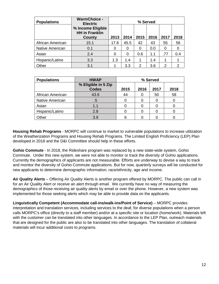| <b>Populations</b>     | <b>WarmChoice -</b><br><b>Electric</b>               | % Served |      |      |      |      |      |
|------------------------|------------------------------------------------------|----------|------|------|------|------|------|
|                        | % Income Eligible<br><b>HH in Franklin</b><br>County | 2013     | 2014 | 2015 | 2016 | 2017 | 2018 |
| African American       | 15.1                                                 | 17.6     | 45.5 | 42   | 43   | 55   | 56   |
| <b>Native American</b> | 0.1                                                  | 0        | 0    | 0    | 0.0  | 0    | 0    |
| Asian                  | 2.4                                                  | 0        | 0    | 0.6  | 1.1  | .77  | 0.4  |
| Hispanic/Latino        | 3.3                                                  | 1.3      | 1.4  | 1    | 1.4  |      |      |
| Other                  | 3.1                                                  |          | 3.3  | 2    | 3.6  | 2    | 2    |

| <b>Populations</b> | <b>HWAP</b>                         | % Served |      |      |      |
|--------------------|-------------------------------------|----------|------|------|------|
|                    | % Eligible in 5 Zip<br><b>Codes</b> | 2015     | 2016 | 2017 | 2018 |
| African American   | 43.6                                | 44       |      | 50   | 58   |
| Native American    | .5                                  |          |      |      |      |
| Asian              | 1.1                                 |          |      |      |      |
| Hispanic/Latino    | 2.8                                 |          |      |      |      |
| Other              | 3.9                                 | հ        |      |      |      |

**Housing Rehab Programs** - MORPC will continue to market to vulnerable populations to increase utilization of the Weatherization Programs and Housing Rehab Programs. The Limited English Proficiency (LEP) Plan developed in 2018 and the D&I Committee should help in these efforts.

**Gohio Commute** - In 2018, the Rideshare program was replaced by a new state-wide system, Gohio Commute. Under this new system, we were not able to monitor or track the diversity of Gohio applications. Currently the demographics of applicants are not measurable. Efforts are underway to devise a way to track and monitor the diversity of Gohio Commute applications. But for now, quarterly surveys will be conducted for new applicants to determine demographic information; race/ethnicity, age and income.

**Air Quality Alerts** – Offering Air Quality Alerts is another program offered by MORPC. The public can call in for an Air Quality Alert or receive an alert through email. We currently have no way of measuring the demographics of those receiving air quality alerts by email or over the phone. However, a new system was implemented for those seeking alerts which may be able to provide data on the applicants.

**Linguistically Competent (Accommodate call-ins/walk-ins/Point of Service)** – MORPC provides interpretation and translation services, including services to the deaf, for diverse populations when a person calls MORPC's office (directly to a staff member) and/or at a specific site or location (home/work). Materials left with the customer can be translated into other languages. In accordance to the LEP Plan, outreach materials that are designed for the public are also to be translated into other languages. The translation of collateral materials will incur additional costs to programs.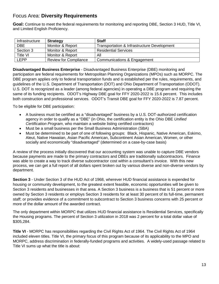## Focus Area: **Diversity Requirements**

**Goal:** Continue to meet the federal requirements for monitoring and reporting DBE, Section 3 HUD, Title VI, and Limited English Proficiency.

| Infrastructure  | <b>Strategy</b>              | <b>Staff</b>                                |
|-----------------|------------------------------|---------------------------------------------|
| <b>DBE</b>      | Monitor & Report             | Transportation & Infrastructure Development |
| Section 3       | Monitor & Report             | <b>Residential Services</b>                 |
| <b>Title VI</b> | Monitor & Report             | All                                         |
| _EPP            | <b>Review for Compliance</b> | Communications & Engagement                 |

**Disadvantaged Business Enterprise** - Disadvantaged Business Enterprise (DBE) monitoring and participation are federal requirements for Metropolitan Planning Organizations (MPOs) such as MORPC. The DBE program applies only to federal transportation funds and is established per the rules, requirements, and guidelines of the U.S. Department of Transportation (DOT) and Ohio Department of Transportation (ODOT). U.S. DOT is recognized as a leader (among federal agencies) in operating a DBE program and requiring the same of its funding recipients. ODOT's Highway DBE goal for FFY 2020-2022 is 15.6 percent. This includes both construction and professional services. ODOT's Transit DBE goal for FFY 2020-2022 is 7.87 percent.

To be eligible for DBE participation:

- A business must be certified as a "disadvantaged" business by a U.S. DOT-authorized certification agency in order to qualify as a "DBE" (in Ohio, the certification entity is the Ohio DBE *Unified Certification Program*, who maintain a website listing certified contractors)
- Must be a small business per the Small Business Administration (SBA)
- Must be determined to be part of one of following groups: Black, Hispanic, Native American, Eskimo, Aleut, Native Hawaiian, Asian Pacific American, Subcontinent Asian American, Women, or other socially and economically "disadvantaged" (determined on a case-by-case basis)

A review of the process initially discovered that our accounting system was unable to capture DBE vendors because payments are made to the primary contractors and DBEs are traditionally subcontractors. Finance was able to create a way to track diverse subcontractor cost within a consultant's invoice. With this new process, we can get a full report of all dollars spent broken out by various diverse and non-diverse vendors by department.

**Section 3** - Under Section 3 of the HUD Act of 1968, wherever HUD financial assistance is expended for housing or community development, to the greatest extent feasible, economic opportunities will be given to Section 3 residents and businesses in that area. A Section 3 business is a business that is 51 percent or more owned by Section 3 residents or employs Section 3 residents for at least 30 percent of its full-time, permanent staff; or provides evidence of a commitment to subcontract to Section 3 business concerns with 25 percent or more of the dollar amount of the awarded contract.

The only department within MORPC that utilizes HUD financial assistance is Residential Services, specifically the Housing programs. The percent of Section 3 utilization in 2018 was 2 percent for a total dollar value of \$305,284.

**Title VI** - MORPC has responsibilities regarding the Civil Rights Act of 1964. The Civil Rights Act of 1964 included eleven titles. Title VI, the primary focus of this program because of its applicability to the MPO and MORPC, address discrimination in federally-funded programs and activities. A widely-used passage related to Title VI sums up what the title is about: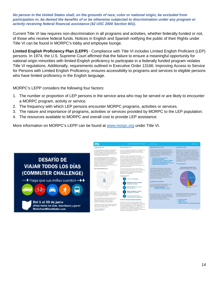*No person in the United States shall, on the grounds of race, color or national origin, be excluded from*  participation in, be denied the benefits of or be otherwise subjected to discrimination under any program or *activity receiving federal financial assistance (42 USC 2000 Section 601).*

Current Title VI law requires non-discrimination in all programs and activities, whether federally-funded or not, of those who receive federal funds. Notices in English and Spanish notifying the public of their Rights under Title VI can be found in MORPC's lobby and employee lounge.

**Limited English Proficiency Plan (LEPP)** - Compliance with Title VI includes Limited English Proficient (LEP) persons. In 1974, the U.S. Supreme Court affirmed that the failure to ensure a meaningful opportunity for national origin minorities with limited-English proficiency to participate in a federally funded program violates Title VI regulations. Additionally, requirements outlined in Executive Order 13166: Improving Access to Service for Persons with Limited English Proficiency, ensures accessibility to programs and services to eligible persons who have limited proficiency in the English language.

MORPC's LEPP considers the following four factors:

- 1. The number or proportion of LEP persons in the service area who may be served or are likely to encounter a MORPC program, activity or service.
- 2. The frequency with which LEP persons encounter MORPC programs, activities or services.
- 3. The nature and importance of programs, activities or services provided by MORPC to the LEP population.
- 4. The resources available to MORPC and overall cost to provide LEP assistance.

More information on MORPC's LEPP can be found at [www.morpc.org](http://www.morpc.org/) under Title VI.

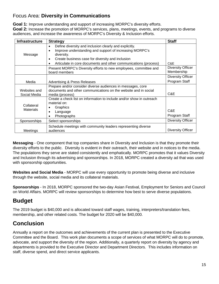## Focus Area: **Diversity in Communications**

**Goal 1:** Improve understanding and support of increasing MORPC's diversity efforts.

**Goal 2:** Increase the promotion of MORPC's services, plans, meetings, events, and programs to diverse audiences, and increase the awareness of MORPC's Diversity & Inclusion efforts.

| <b>Infrastructure</b>        | <b>Strategy</b>                                                                                                                                                                                                                                                                               | <b>Staff</b>                           |
|------------------------------|-----------------------------------------------------------------------------------------------------------------------------------------------------------------------------------------------------------------------------------------------------------------------------------------------|----------------------------------------|
| Message                      | Define diversity and inclusion clearly and explicitly.<br>$\bullet$<br>Improve understanding and support of increasing MORPC's<br>$\bullet$<br>diversity.<br>Create business case for diversity and inclusion<br>$\bullet$<br>Articulate in core documents and other communications (process) | C&E                                    |
|                              | Present MORPC's Diversity efforts to new employees, committee and<br>board members                                                                                                                                                                                                            | <b>Diversity Officer</b><br>Membership |
|                              |                                                                                                                                                                                                                                                                                               | <b>Diversity Officer</b>               |
| Media                        | <b>Advertising &amp; Press Releases</b>                                                                                                                                                                                                                                                       | Program Staff                          |
| Websites and<br>Social Media | Prepare and/or consider diverse audiences in messages, core<br>documents and other communications on the website and in social<br>media (process)                                                                                                                                             | C&E                                    |
| Collateral<br>Materials      | Create a check list on information to include and/or show in outreach<br>material on:<br>Graphics<br>٠<br>Language<br>$\bullet$<br>Photographs<br>$\bullet$                                                                                                                                   | C&E<br>Program Staff                   |
| Sponsorships                 | Select sponsorships                                                                                                                                                                                                                                                                           | <b>Diversity Officer</b>               |
| Meetings                     | Schedule meetings with community leaders representing diverse<br>audiences                                                                                                                                                                                                                    | Diversity Officer                      |

**Messaging** - One component that top companies share in Diversity and Inclusion is that they promote their diversity efforts to the public. Diversity is evident in their outreach, their website and in notices to the media. The populations they serve are stated consistently and emphatically. MORPC promotes that it values Diversity and Inclusion through its advertising and sponsorships. In 2018, MORPC created a diversity ad that was used with sponsorship opportunities.

**Websites and Social Media** - MORPC will use every opportunity to promote being diverse and inclusive through the website, social media and its collateral materials.

**Sponsorships** - In 2018, MORPC sponsored the two-day Asian Festival, Employment for Seniors and Council on World Affairs. MORPC will review sponsorships to determine how best to serve diverse populations.

# **Budget**

The 2019 budget is \$40,000 and is allocated toward staff wages, training, interpreters/translation fees, membership, and other related costs. The budget for 2020 will be \$40,000.

# **Conclusion**

Annually a report on the outcomes and achievements of the current plan is presented to the Executive Committee and the Board. This work plan documents a scope of services of what MORPC will do to promote, advocate, and support the diversity of the region. Additionally, a quarterly report on diversity by agency and departments is provided to the Executive Director and Department Directors. This includes information on staff, diverse spend, and direct service applicants.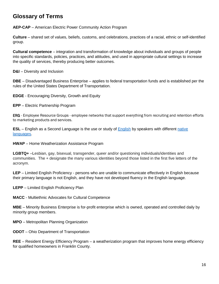# **Glossary of Terms**

**AEP-CAP** – American Electric Power Community Action Program

**Culture** – shared set of values, beliefs, customs, and celebrations, practices of a racial, ethnic or self-identified group.

**Cultural competence** – integration and transformation of knowledge about individuals and groups of people into specific standards, policies, practices, and attitudes, and used in appropriate cultural settings to increase the quality of services, thereby producing better outcomes.

**D&I** – Diversity and Inclusion

**DBE** – Disadvantaged Business Enterprise – applies to federal transportation funds and is established per the rules of the United States Department of Transportation.

**EDGE** - Encouraging Diversity, Growth and Equity

**EPP** – Electric Partnership Program

ERG - Employee Resource Groups - employee networks that support everything from recruiting and retention efforts to marketing products and services.

**ESL** – English as a Second Language is the use or study of [English](http://en.wikipedia.org/wiki/English_language) by speakers with different [native](http://en.wikipedia.org/wiki/Native_language)  [languages.](http://en.wikipedia.org/wiki/Native_language)

**HWAP** – Home Weatherization Assistance Program

**LGBTQ+** –Lesbian, gay, bisexual, transgender, queer and/or questioning individuals/identities and communities. The + designate the many various identities beyond those listed in the first five letters of the acronym.

**LEP** – Limited English Proficiency - persons who are unable to communicate effectively in English because their primary language is not English, and they have not developed fluency in the English language.

**LEPP** – Limited English Proficiency Plan

**MACC** - Multiethnic Advocates for Cultural Competence

**MBE** – Minority Business Enterprise is for-profit enterprise which is owned, operated and controlled daily by minority group members.

**MPO** – Metropolitan Planning Organization

**ODOT** – Ohio Department of Transportation

**REE** – Resident Energy Efficiency Program – a weatherization program that improves home energy efficiency for qualified homeowners in Franklin County.